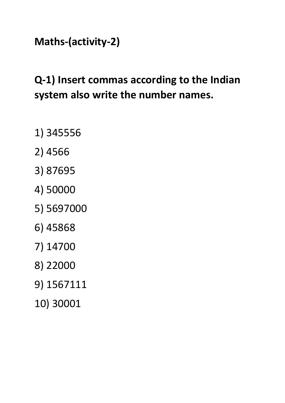#### **Maths-(activity-2)**

## **Q-1) Insert commas according to the Indian system also write the number names.**

- 1) 345556
- 2) 4566
- 3) 87695
- 4) 50000
- 5) 5697000
- 6) 45868
- 7) 14700
- 8) 22000
- 9) 1567111
- 10) 30001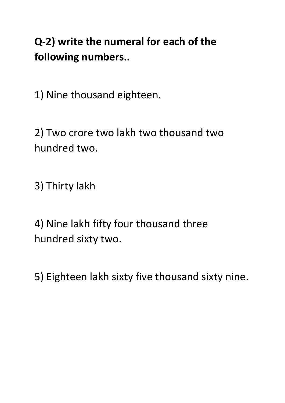## **Q-2) write the numeral for each of the following numbers..**

1) Nine thousand eighteen.

2) Two crore two lakh two thousand two hundred two.

3) Thirty lakh

4) Nine lakh fifty four thousand three hundred sixty two.

5) Eighteen lakh sixty five thousand sixty nine.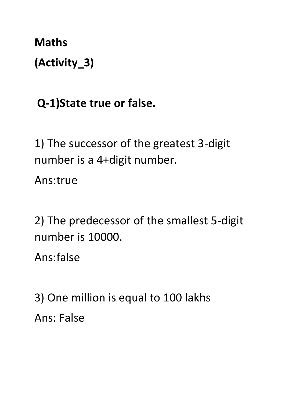**Maths (Activity\_3)**

# **Q-1)State true or false.**

1) The successor of the greatest 3-digit number is a 4+digit number.

Ans:true

2) The predecessor of the smallest 5-digit number is 10000.

Ans:false

3) One million is equal to 100 lakhs Ans: False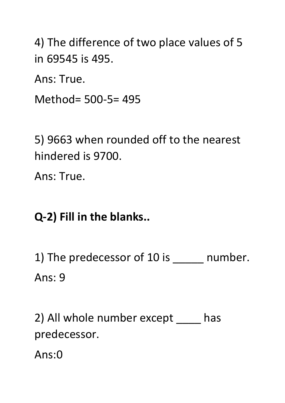4) The difference of two place values of 5 in 69545 is 495.

Ans: True.

Method= 500-5= 495

5) 9663 when rounded off to the nearest hindered is 9700.

Ans: True.

### **Q-2) Fill in the blanks..**

1) The predecessor of 10 is \_\_\_\_\_ number. Ans: 9

2) All whole number except \_\_\_\_\_ has predecessor.

Ans:0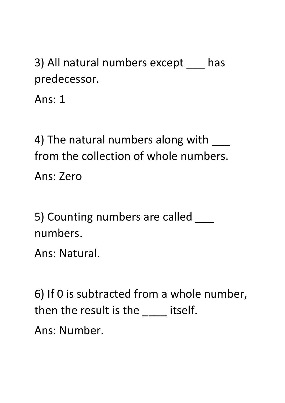3) All natural numbers except \_\_\_ has predecessor.

Ans: 1

4) The natural numbers along with \_\_\_ from the collection of whole numbers.

Ans: Zero

5) Counting numbers are called \_\_\_\_ numbers.

Ans: Natural.

6) If 0 is subtracted from a whole number, then the result is the \_\_\_\_\_ itself. Ans: Number.